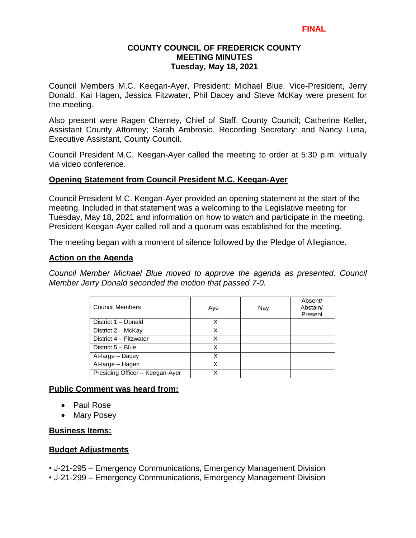## **COUNTY COUNCIL OF FREDERICK COUNTY MEETING MINUTES Tuesday, May 18, 2021**

Council Members M.C. Keegan-Ayer, President; Michael Blue, Vice-President, Jerry Donald, Kai Hagen, Jessica Fitzwater, Phil Dacey and Steve McKay were present for the meeting.

Also present were Ragen Cherney, Chief of Staff, County Council; Catherine Keller, Assistant County Attorney; Sarah Ambrosio, Recording Secretary: and Nancy Luna, Executive Assistant, County Council.

Council President M.C. Keegan-Ayer called the meeting to order at 5:30 p.m. virtually via video conference.

#### **Opening Statement from Council President M.C. Keegan-Ayer**

Council President M.C. Keegan-Ayer provided an opening statement at the start of the meeting. Included in that statement was a welcoming to the Legislative meeting for Tuesday, May 18, 2021 and information on how to watch and participate in the meeting. President Keegan-Ayer called roll and a quorum was established for the meeting.

The meeting began with a moment of silence followed by the Pledge of Allegiance.

#### **Action on the Agenda**

*Council Member Michael Blue moved to approve the agenda as presented. Council Member Jerry Donald seconded the motion that passed 7-0.*

| <b>Council Members</b>          | Aye | Nay | Absent/<br>Abstain/<br>Present |
|---------------------------------|-----|-----|--------------------------------|
| District 1 - Donald             | x   |     |                                |
| District 2 - McKay              | х   |     |                                |
| District 4 - Fitzwater          | X   |     |                                |
| District 5 - Blue               | X   |     |                                |
| At-large - Dacey                | x   |     |                                |
| At-large - Hagen                |     |     |                                |
| Presiding Officer - Keegan-Ayer | χ   |     |                                |

## **Public Comment was heard from:**

- Paul Rose
- Mary Posey

## **Business Items:**

## **Budget Adjustments**

• J-21-295 – Emergency Communications, Emergency Management Division

• J-21-299 – Emergency Communications, Emergency Management Division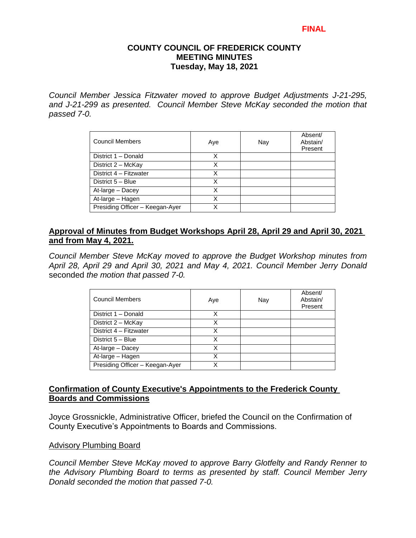#### **COUNTY COUNCIL OF FREDERICK COUNTY MEETING MINUTES Tuesday, May 18, 2021**

*Council Member Jessica Fitzwater moved to approve Budget Adjustments J-21-295, and J-21-299 as presented. Council Member Steve McKay seconded the motion that passed 7-0.*

| <b>Council Members</b>          | Aye | Nay | Absent/<br>Abstain/<br>Present |
|---------------------------------|-----|-----|--------------------------------|
| District 1 - Donald             | x   |     |                                |
| District 2 - McKay              | X   |     |                                |
| District 4 - Fitzwater          | х   |     |                                |
| District 5 - Blue               | x   |     |                                |
| At-large - Dacey                | x   |     |                                |
| At-large - Hagen                | Χ   |     |                                |
| Presiding Officer - Keegan-Ayer |     |     |                                |

# **Approval of Minutes from Budget Workshops April 28, April 29 and April 30, 2021 and from May 4, 2021.**

*Council Member Steve McKay moved to approve the Budget Workshop minutes from April 28, April 29 and April 30, 2021 and May 4, 2021. Council Member Jerry Donald* seconded *the motion that passed 7-0.* 

| <b>Council Members</b>          | Aye | Nay | Absent/<br>Abstain/<br>Present |
|---------------------------------|-----|-----|--------------------------------|
| District 1 - Donald             | X   |     |                                |
| District 2 - McKay              | Χ   |     |                                |
| District 4 - Fitzwater          |     |     |                                |
| District 5 - Blue               | x   |     |                                |
| At-large - Dacey                | X   |     |                                |
| At-large - Hagen                | x   |     |                                |
| Presiding Officer - Keegan-Ayer |     |     |                                |

# **Confirmation of County Executive's Appointments to the Frederick County Boards and Commissions**

Joyce Grossnickle, Administrative Officer, briefed the Council on the Confirmation of County Executive's Appointments to Boards and Commissions.

## Advisory Plumbing Board

*Council Member Steve McKay moved to approve Barry Glotfelty and Randy Renner to the Advisory Plumbing Board to terms as presented by staff. Council Member Jerry Donald seconded the motion that passed 7-0.*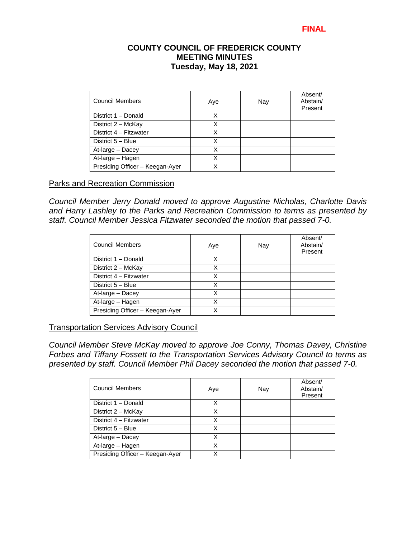## **COUNTY COUNCIL OF FREDERICK COUNTY MEETING MINUTES Tuesday, May 18, 2021**

| <b>Council Members</b>          | Aye | Nay | Absent/<br>Abstain/<br>Present |
|---------------------------------|-----|-----|--------------------------------|
| District 1 - Donald             | Χ   |     |                                |
| District 2 - McKay              | Χ   |     |                                |
| District 4 - Fitzwater          | х   |     |                                |
| District 5 - Blue               | х   |     |                                |
| At-large - Dacey                | Χ   |     |                                |
| At-large - Hagen                | Χ   |     |                                |
| Presiding Officer - Keegan-Ayer |     |     |                                |

#### Parks and Recreation Commission

*Council Member Jerry Donald moved to approve Augustine Nicholas, Charlotte Davis and Harry Lashley to the Parks and Recreation Commission to terms as presented by staff. Council Member Jessica Fitzwater seconded the motion that passed 7-0.* 

| <b>Council Members</b>          | Aye | Nay | Absent/<br>Abstain/<br>Present |
|---------------------------------|-----|-----|--------------------------------|
| District 1 - Donald             | х   |     |                                |
| District 2 - McKay              | Χ   |     |                                |
| District 4 - Fitzwater          | x   |     |                                |
| District 5 - Blue               | Χ   |     |                                |
| At-large - Dacey                | X   |     |                                |
| At-large - Hagen                | x   |     |                                |
| Presiding Officer - Keegan-Ayer |     |     |                                |

#### Transportation Services Advisory Council

*Council Member Steve McKay moved to approve Joe Conny, Thomas Davey, Christine Forbes and Tiffany Fossett to the Transportation Services Advisory Council to terms as presented by staff. Council Member Phil Dacey seconded the motion that passed 7-0.* 

| Council Members                 | Aye | Nay | Absent/<br>Abstain/<br>Present |
|---------------------------------|-----|-----|--------------------------------|
| District 1 - Donald             |     |     |                                |
| District 2 - McKay              | x   |     |                                |
| District 4 - Fitzwater          | Χ   |     |                                |
| District 5 - Blue               | X   |     |                                |
| At-large - Dacey                | X   |     |                                |
| At-large - Hagen                | x   |     |                                |
| Presiding Officer - Keegan-Ayer |     |     |                                |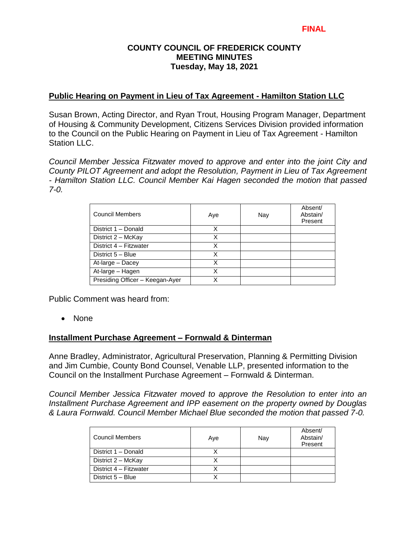## **COUNTY COUNCIL OF FREDERICK COUNTY MEETING MINUTES Tuesday, May 18, 2021**

#### **Public Hearing on Payment in Lieu of Tax Agreement - Hamilton Station LLC**

Susan Brown, Acting Director, and Ryan Trout, Housing Program Manager, Department of Housing & Community Development, Citizens Services Division provided information to the Council on the Public Hearing on Payment in Lieu of Tax Agreement - Hamilton Station LLC.

*Council Member Jessica Fitzwater moved to approve and enter into the joint City and County PILOT Agreement and adopt the Resolution, Payment in Lieu of Tax Agreement - Hamilton Station LLC. Council Member Kai Hagen seconded the motion that passed 7-0.* 

| Council Members                 | Aye | Nay | Absent/<br>Abstain/<br>Present |
|---------------------------------|-----|-----|--------------------------------|
| District 1 - Donald             | x   |     |                                |
| District 2 - McKay              | Χ   |     |                                |
| District 4 - Fitzwater          | X   |     |                                |
| District 5 - Blue               | X   |     |                                |
| At-large - Dacey                | Χ   |     |                                |
| At-large - Hagen                | Χ   |     |                                |
| Presiding Officer - Keegan-Ayer |     |     |                                |

Public Comment was heard from:

• None

## **Installment Purchase Agreement – Fornwald & Dinterman**

Anne Bradley, Administrator, Agricultural Preservation, Planning & Permitting Division and Jim Cumbie, County Bond Counsel, Venable LLP, presented information to the Council on the Installment Purchase Agreement – Fornwald & Dinterman.

*Council Member Jessica Fitzwater moved to approve the Resolution to enter into an Installment Purchase Agreement and IPP easement on the property owned by Douglas & Laura Fornwald. Council Member Michael Blue seconded the motion that passed 7-0.* 

| Council Members        | Aye | Nay | Absent/<br>Abstain/<br>Present |
|------------------------|-----|-----|--------------------------------|
| District 1 - Donald    |     |     |                                |
| District 2 - McKay     |     |     |                                |
| District 4 - Fitzwater |     |     |                                |
| District 5 - Blue      |     |     |                                |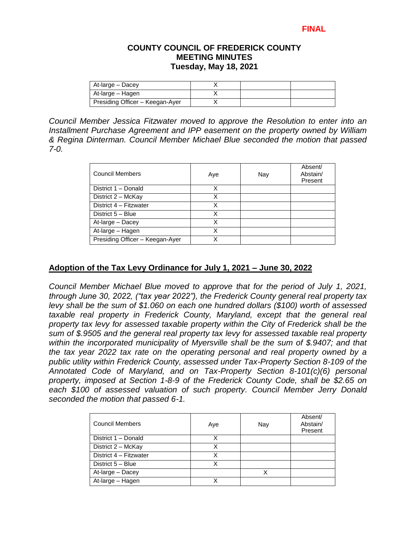#### **COUNTY COUNCIL OF FREDERICK COUNTY MEETING MINUTES Tuesday, May 18, 2021**

| At-large - Dacey                |  |  |
|---------------------------------|--|--|
| At-large – Hagen                |  |  |
| Presiding Officer - Keegan-Ayer |  |  |

*Council Member Jessica Fitzwater moved to approve the Resolution to enter into an Installment Purchase Agreement and IPP easement on the property owned by William & Regina Dinterman. Council Member Michael Blue seconded the motion that passed 7-0.* 

| <b>Council Members</b>          | Aye | Nay | Absent/<br>Abstain/<br>Present |
|---------------------------------|-----|-----|--------------------------------|
| District 1 - Donald             | Χ   |     |                                |
| District 2 - McKay              | х   |     |                                |
| District 4 - Fitzwater          | х   |     |                                |
| District 5 - Blue               | Χ   |     |                                |
| At-large - Dacey                | X   |     |                                |
| At-large - Hagen                | x   |     |                                |
| Presiding Officer - Keegan-Ayer |     |     |                                |

# **Adoption of the Tax Levy Ordinance for July 1, 2021 – June 30, 2022**

*Council Member Michael Blue moved to approve that for the period of July 1, 2021, through June 30, 2022, ("tax year 2022"), the Frederick County general real property tax levy shall be the sum of \$1.060 on each one hundred dollars (\$100) worth of assessed*  taxable real property in Frederick County, Maryland, except that the general real *property tax levy for assessed taxable property within the City of Frederick shall be the sum of \$.9505 and the general real property tax levy for assessed taxable real property within the incorporated municipality of Myersville shall be the sum of \$.9407; and that the tax year 2022 tax rate on the operating personal and real property owned by a public utility within Frederick County, assessed under Tax-Property Section 8-109 of the Annotated Code of Maryland, and on Tax-Property Section 8-101(c)(6) personal property, imposed at Section 1-8-9 of the Frederick County Code, shall be \$2.65 on each \$100 of assessed valuation of such property. Council Member Jerry Donald seconded the motion that passed 6-1.* 

| <b>Council Members</b> | Aye | Nay | Absent/<br>Abstain/<br>Present |
|------------------------|-----|-----|--------------------------------|
| District 1 - Donald    |     |     |                                |
| District 2 - McKay     |     |     |                                |
| District 4 - Fitzwater |     |     |                                |
| District 5 - Blue      | x   |     |                                |
| At-large - Dacey       |     |     |                                |
| At-large - Hagen       |     |     |                                |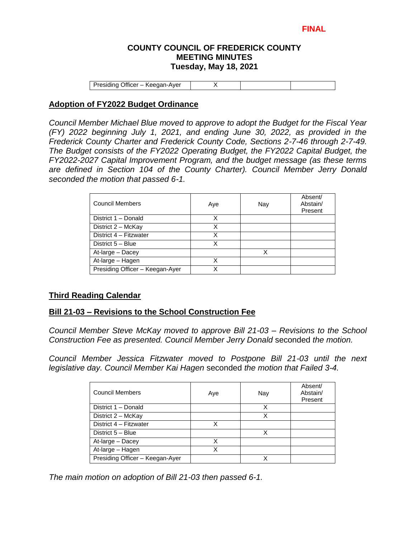#### **COUNTY COUNCIL OF FREDERICK COUNTY MEETING MINUTES Tuesday, May 18, 2021**

Presiding Officer – Keegan-Ayer X

## **Adoption of FY2022 Budget Ordinance**

*Council Member Michael Blue moved to approve to adopt the Budget for the Fiscal Year (FY) 2022 beginning July 1, 2021, and ending June 30, 2022, as provided in the Frederick County Charter and Frederick County Code, Sections 2-7-46 through 2-7-49. The Budget consists of the FY2022 Operating Budget, the FY2022 Capital Budget, the FY2022-2027 Capital Improvement Program, and the budget message (as these terms are defined in Section 104 of the County Charter). Council Member Jerry Donald seconded the motion that passed 6-1.* 

| <b>Council Members</b>          | Aye | Nay | Absent/<br>Abstain/<br>Present |
|---------------------------------|-----|-----|--------------------------------|
| District 1 - Donald             | x   |     |                                |
| District 2 - McKay              | x   |     |                                |
| District 4 - Fitzwater          | x   |     |                                |
| District 5 - Blue               |     |     |                                |
| At-large - Dacey                |     | x   |                                |
| At-large - Hagen                | x   |     |                                |
| Presiding Officer - Keegan-Ayer |     |     |                                |

## **Third Reading Calendar**

#### **Bill 21-03 – Revisions to the School Construction Fee**

*Council Member Steve McKay moved to approve Bill 21-03 – Revisions to the School Construction Fee as presented. Council Member Jerry Donald* seconded *the motion.*

*Council Member Jessica Fitzwater moved to Postpone Bill 21-03 until the next legislative day. Council Member Kai Hagen* seconded *the motion that Failed 3-4.*

| <b>Council Members</b>          | Aye | Nay | Absent/<br>Abstain/<br>Present |
|---------------------------------|-----|-----|--------------------------------|
| District 1 - Donald             |     | x   |                                |
| District 2 - McKay              |     | Χ   |                                |
| District 4 - Fitzwater          | X   |     |                                |
| District 5 - Blue               |     |     |                                |
| At-large - Dacey                | x   |     |                                |
| At-large - Hagen                | x   |     |                                |
| Presiding Officer - Keegan-Ayer |     |     |                                |

*The main motion on adoption of Bill 21-03 then passed 6-1.*